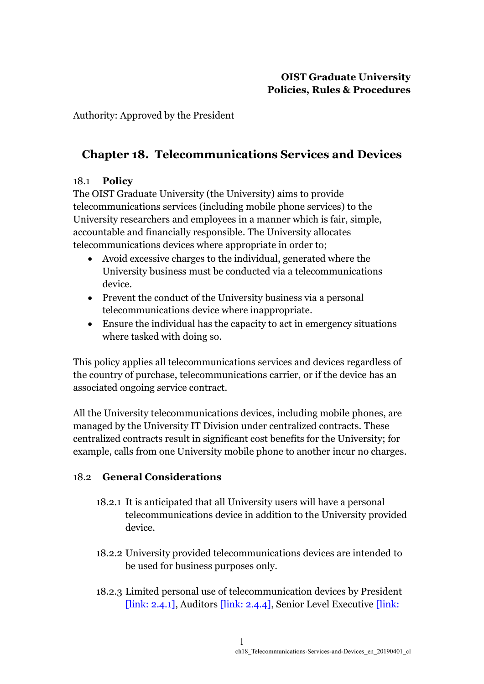Authority: Approved by the President

# **Chapter 18. Telecommunications Services and Devices**

# 18.1 **Policy**

The OIST Graduate University (the University) aims to provide telecommunications services (including mobile phone services) to the University researchers and employees in a manner which is fair, simple, accountable and financially responsible. The University allocates telecommunications devices where appropriate in order to;

- Avoid excessive charges to the individual, generated where the University business must be conducted via a telecommunications device.
- Prevent the conduct of the University business via a personal telecommunications device where inappropriate.
- Ensure the individual has the capacity to act in emergency situations where tasked with doing so.

This policy applies all telecommunications services and devices regardless of the country of purchase, telecommunications carrier, or if the device has an associated ongoing service contract.

All the University telecommunications devices, including mobile phones, are managed by the University IT Division under centralized contracts. These centralized contracts result in significant cost benefits for the University; for example, calls from one University mobile phone to another incur no charges.

## 18.2 **General Considerations**

- 18.2.1 It is anticipated that all University users will have a personal telecommunications device in addition to the University provided device.
- 18.2.2 University provided telecommunications devices are intended to be used for business purposes only.
- 18.2.3 Limited personal use of telecommunication devices by President [link: 2.4.1], Auditors [link: 2.4.4], Senior Level Executive [link: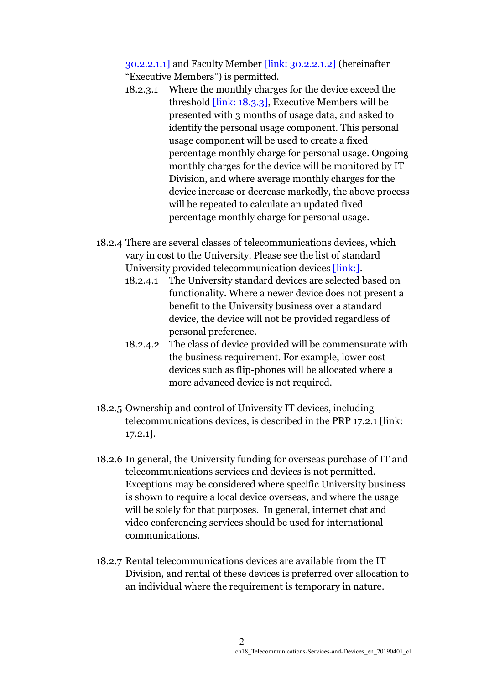30.2.2.1.1] and Faculty Member [link: 30.2.2.1.2] (hereinafter "Executive Members") is permitted.

- 18.2.3.1 Where the monthly charges for the device exceed the threshold [link: 18.3.3], Executive Members will be presented with 3 months of usage data, and asked to identify the personal usage component. This personal usage component will be used to create a fixed percentage monthly charge for personal usage. Ongoing monthly charges for the device will be monitored by IT Division, and where average monthly charges for the device increase or decrease markedly, the above process will be repeated to calculate an updated fixed percentage monthly charge for personal usage.
- 18.2.4 There are several classes of telecommunications devices, which vary in cost to the University. Please see the list of standard University provided telecommunication devices [link:].
	- 18.2.4.1 The University standard devices are selected based on functionality. Where a newer device does not present a benefit to the University business over a standard device, the device will not be provided regardless of personal preference.
	- 18.2.4.2 The class of device provided will be commensurate with the business requirement. For example, lower cost devices such as flip-phones will be allocated where a more advanced device is not required.
- 18.2.5 Ownership and control of University IT devices, including telecommunications devices, is described in the PRP 17.2.1 [link: 17.2.1].
- 18.2.6 In general, the University funding for overseas purchase of IT and telecommunications services and devices is not permitted. Exceptions may be considered where specific University business is shown to require a local device overseas, and where the usage will be solely for that purposes. In general, internet chat and video conferencing services should be used for international communications.
- 18.2.7 Rental telecommunications devices are available from the IT Division, and rental of these devices is preferred over allocation to an individual where the requirement is temporary in nature.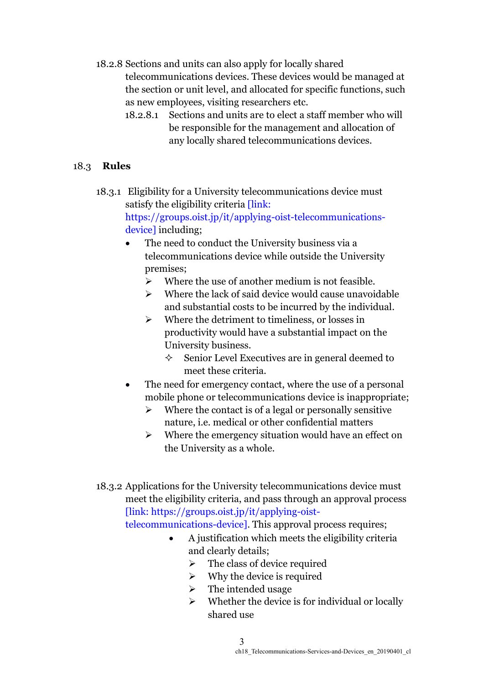18.2.8 Sections and units can also apply for locally shared telecommunications devices. These devices would be managed at the section or unit level, and allocated for specific functions, such as new employees, visiting researchers etc.

18.2.8.1 Sections and units are to elect a staff member who will be responsible for the management and allocation of any locally shared telecommunications devices.

# 18.3 **Rules**

18.3.1 Eligibility for a University telecommunications device must satisfy the eligibility criteria [link:

> https://groups.oist.jp/it/applying-oist-telecommunicationsdevice] including;

- The need to conduct the University business via a telecommunications device while outside the University premises;
	- $\triangleright$  Where the use of another medium is not feasible.
	- ➢ Where the lack of said device would cause unavoidable and substantial costs to be incurred by the individual.
	- ➢ Where the detriment to timeliness, or losses in productivity would have a substantial impact on the University business.
		- $\Diamond$  Senior Level Executives are in general deemed to meet these criteria.
- The need for emergency contact, where the use of a personal mobile phone or telecommunications device is inappropriate;
	- $\triangleright$  Where the contact is of a legal or personally sensitive nature, i.e. medical or other confidential matters
	- ➢ Where the emergency situation would have an effect on the University as a whole.
- 18.3.2 Applications for the University telecommunications device must meet the eligibility criteria, and pass through an approval process [link: https://groups.oist.jp/it/applying-oist-

telecommunications-device]. This approval process requires;

- A justification which meets the eligibility criteria and clearly details;
	- $\triangleright$  The class of device required
	- $\triangleright$  Why the device is required
	- $\triangleright$  The intended usage
	- $\triangleright$  Whether the device is for individual or locally shared use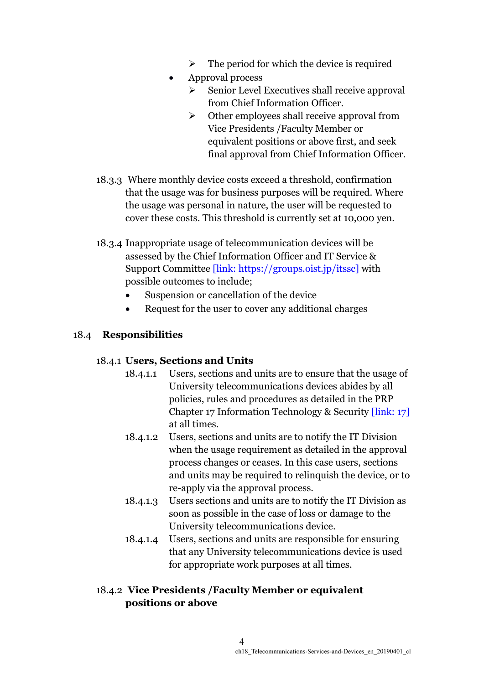- $\triangleright$  The period for which the device is required
- Approval process
	- ➢ Senior Level Executives shall receive approval from Chief Information Officer.
	- $\triangleright$  Other employees shall receive approval from Vice Presidents /Faculty Member or equivalent positions or above first, and seek final approval from Chief Information Officer.
- 18.3.3 Where monthly device costs exceed a threshold, confirmation that the usage was for business purposes will be required. Where the usage was personal in nature, the user will be requested to cover these costs. This threshold is currently set at 10,000 yen.
- 18.3.4 Inappropriate usage of telecommunication devices will be assessed by the Chief Information Officer and IT Service & Support Committee [link: https://groups.oist.jp/itssc] with possible outcomes to include;
	- Suspension or cancellation of the device
	- Request for the user to cover any additional charges

# 18.4 **Responsibilities**

## 18.4.1 **Users, Sections and Units**

- 18.4.1.1 Users, sections and units are to ensure that the usage of University telecommunications devices abides by all policies, rules and procedures as detailed in the PRP Chapter 17 Information Technology & Security [link: 17] at all times.
- 18.4.1.2 Users, sections and units are to notify the IT Division when the usage requirement as detailed in the approval process changes or ceases. In this case users, sections and units may be required to relinquish the device, or to re-apply via the approval process.
- 18.4.1.3 Users sections and units are to notify the IT Division as soon as possible in the case of loss or damage to the University telecommunications device.
- 18.4.1.4 Users, sections and units are responsible for ensuring that any University telecommunications device is used for appropriate work purposes at all times.

# 18.4.2 **Vice Presidents /Faculty Member or equivalent positions or above**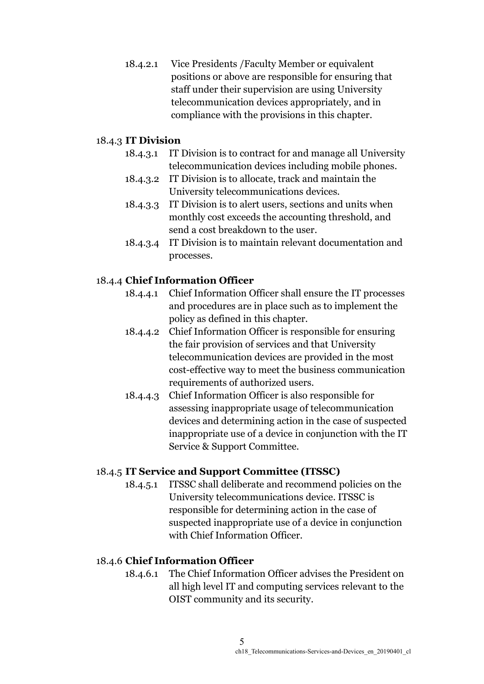18.4.2.1 Vice Presidents /Faculty Member or equivalent positions or above are responsible for ensuring that staff under their supervision are using University telecommunication devices appropriately, and in compliance with the provisions in this chapter.

## 18.4.3 **IT Division**

- 18.4.3.1 IT Division is to contract for and manage all University telecommunication devices including mobile phones.
- 18.4.3.2 IT Division is to allocate, track and maintain the University telecommunications devices.
- 18.4.3.3 IT Division is to alert users, sections and units when monthly cost exceeds the accounting threshold, and send a cost breakdown to the user.
- 18.4.3.4 IT Division is to maintain relevant documentation and processes.

# 18.4.4 **Chief Information Officer**

- 18.4.4.1 Chief Information Officer shall ensure the IT processes and procedures are in place such as to implement the policy as defined in this chapter.
- 18.4.4.2 Chief Information Officer is responsible for ensuring the fair provision of services and that University telecommunication devices are provided in the most cost-effective way to meet the business communication requirements of authorized users.
- 18.4.4.3 Chief Information Officer is also responsible for assessing inappropriate usage of telecommunication devices and determining action in the case of suspected inappropriate use of a device in conjunction with the IT Service & Support Committee.

## 18.4.5 **IT Service and Support Committee (ITSSC)**

18.4.5.1 ITSSC shall deliberate and recommend policies on the University telecommunications device. ITSSC is responsible for determining action in the case of suspected inappropriate use of a device in conjunction with Chief Information Officer.

## 18.4.6 **Chief Information Officer**

18.4.6.1 The Chief Information Officer advises the President on all high level IT and computing services relevant to the OIST community and its security.